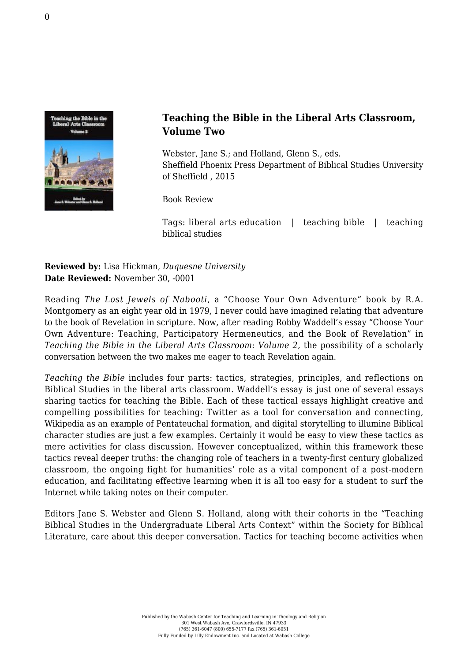

## **Teaching the Bible in the Liberal Arts Classroom, Volume Two**

Webster, Jane S.; and Holland, Glenn S., eds. [Sheffield Phoenix Press Department of Biblical Studies University](http://www.sheffieldphoenix.com/showbook.asp?bkid=325) [of Sheffield , 2015](http://www.sheffieldphoenix.com/showbook.asp?bkid=325)

Book Review

Tags: liberal arts education | teaching bible | teaching biblical studies

**Reviewed by:** Lisa Hickman, *Duquesne University* **Date Reviewed:** November 30, -0001

Reading *The Lost Jewels of Nabooti*, a "Choose Your Own Adventure" book by R.A. Montgomery as an eight year old in 1979, I never could have imagined relating that adventure to the book of Revelation in scripture. Now, after reading Robby Waddell's essay "Choose Your Own Adventure: Teaching, Participatory Hermeneutics, and the Book of Revelation" in *Teaching the Bible in the Liberal Arts Classroom: Volume 2,* the possibility of a scholarly conversation between the two makes me eager to teach Revelation again.

*Teaching the Bible* includes four parts: tactics, strategies, principles, and reflections on Biblical Studies in the liberal arts classroom. Waddell's essay is just one of several essays sharing tactics for teaching the Bible. Each of these tactical essays highlight creative and compelling possibilities for teaching: Twitter as a tool for conversation and connecting, Wikipedia as an example of Pentateuchal formation, and digital storytelling to illumine Biblical character studies are just a few examples. Certainly it would be easy to view these tactics as mere activities for class discussion. However conceptualized, within this framework these tactics reveal deeper truths: the changing role of teachers in a twenty-first century globalized classroom, the ongoing fight for humanities' role as a vital component of a post-modern education, and facilitating effective learning when it is all too easy for a student to surf the Internet while taking notes on their computer.

Editors Jane S. Webster and Glenn S. Holland, along with their cohorts in the "Teaching Biblical Studies in the Undergraduate Liberal Arts Context" within the Society for Biblical Literature, care about this deeper conversation. Tactics for teaching become activities when